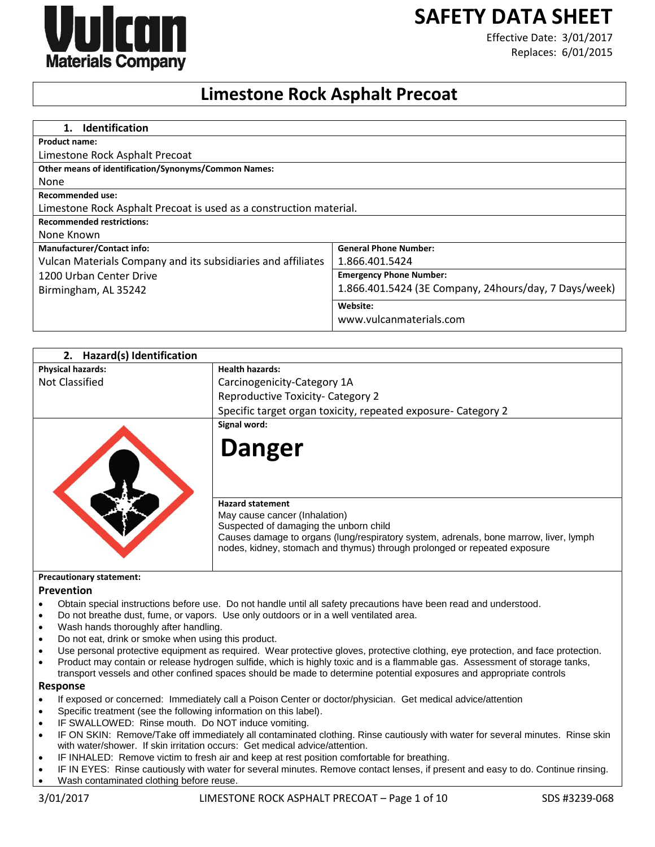# **SAFETY DATA SHEET**



Effective Date: 3/01/2017 Replaces: 6/01/2015

# **Limestone Rock Asphalt Precoat**

| <b>Identification</b><br>$\mathbf 1$ .                             |                                                       |
|--------------------------------------------------------------------|-------------------------------------------------------|
| <b>Product name:</b>                                               |                                                       |
| Limestone Rock Asphalt Precoat                                     |                                                       |
| Other means of identification/Synonyms/Common Names:               |                                                       |
| None                                                               |                                                       |
| <b>Recommended use:</b>                                            |                                                       |
| Limestone Rock Asphalt Precoat is used as a construction material. |                                                       |
| <b>Recommended restrictions:</b>                                   |                                                       |
| None Known                                                         |                                                       |
| <b>Manufacturer/Contact info:</b>                                  | <b>General Phone Number:</b>                          |
| Vulcan Materials Company and its subsidiaries and affiliates       | 1.866.401.5424                                        |
| 1200 Urban Center Drive                                            | <b>Emergency Phone Number:</b>                        |
| Birmingham, AL 35242                                               | 1.866.401.5424 (3E Company, 24hours/day, 7 Days/week) |
|                                                                    | Website:                                              |
|                                                                    | www.vulcanmaterials.com                               |

| 2. Hazard(s) Identification |                                                                                                                                                                                             |
|-----------------------------|---------------------------------------------------------------------------------------------------------------------------------------------------------------------------------------------|
| <b>Physical hazards:</b>    | <b>Health hazards:</b>                                                                                                                                                                      |
| Not Classified              | Carcinogenicity-Category 1A                                                                                                                                                                 |
|                             | Reproductive Toxicity- Category 2                                                                                                                                                           |
|                             | Specific target organ toxicity, repeated exposure- Category 2                                                                                                                               |
|                             | Signal word:                                                                                                                                                                                |
|                             | Danger                                                                                                                                                                                      |
|                             | <b>Hazard statement</b><br>May cause cancer (Inhalation)<br>Suspected of damaging the unborn child<br>Causes damage to organs (lung/respiratory system, adrenals, bone marrow, liver, lymph |

#### **Precautionary statement:**

#### **Prevention**

- Obtain special instructions before use. Do not handle until all safety precautions have been read and understood.
- Do not breathe dust, fume, or vapors. Use only outdoors or in a well ventilated area.
- Wash hands thoroughly after handling.
- Do not eat, drink or smoke when using this product.
- Use personal protective equipment as required. Wear protective gloves, protective clothing, eye protection, and face protection.
- Product may contain or release hydrogen sulfide, which is highly toxic and is a flammable gas. Assessment of storage tanks,
- transport vessels and other confined spaces should be made to determine potential exposures and appropriate controls **Response**

- If exposed or concerned: Immediately call a Poison Center or doctor/physician. Get medical advice/attention
- Specific treatment (see the following information on this label).
- IF SWALLOWED: Rinse mouth. Do NOT induce vomiting.
- IF ON SKIN: Remove/Take off immediately all contaminated clothing. Rinse cautiously with water for several minutes. Rinse skin with water/shower. If skin irritation occurs: Get medical advice/attention.
- IF INHALED: Remove victim to fresh air and keep at rest position comfortable for breathing.
- IF IN EYES: Rinse cautiously with water for several minutes. Remove contact lenses, if present and easy to do. Continue rinsing.
- Wash contaminated clothing before reuse.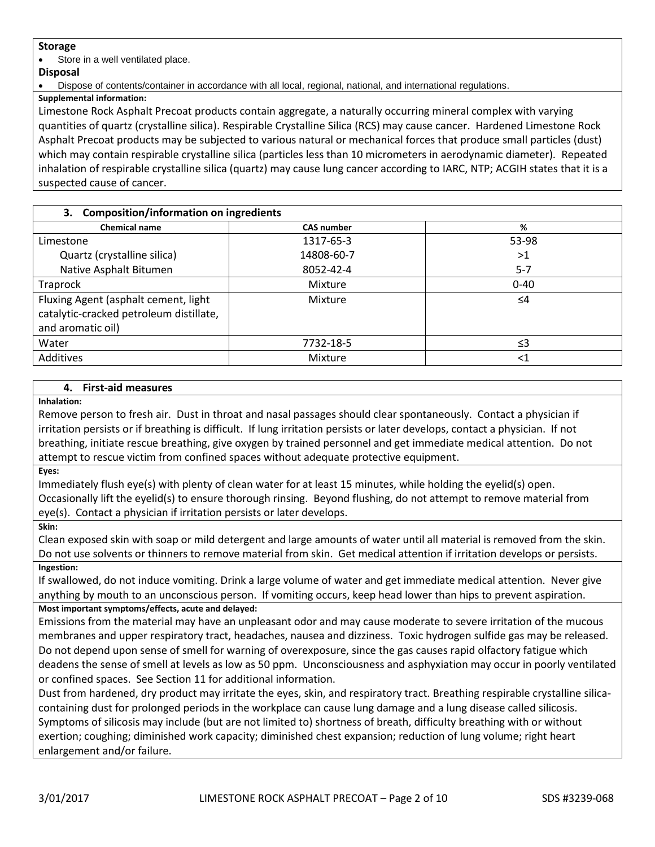### **Storage**

Store in a well ventilated place.

### **Disposal**

Dispose of contents/container in accordance with all local, regional, national, and international regulations.

**Supplemental information:**

Limestone Rock Asphalt Precoat products contain aggregate, a naturally occurring mineral complex with varying quantities of quartz (crystalline silica). Respirable Crystalline Silica (RCS) may cause cancer. Hardened Limestone Rock Asphalt Precoat products may be subjected to various natural or mechanical forces that produce small particles (dust) which may contain respirable crystalline silica (particles less than 10 micrometers in aerodynamic diameter). Repeated inhalation of respirable crystalline silica (quartz) may cause lung cancer according to IARC, NTP; ACGIH states that it is a suspected cause of cancer.

# **3. Composition/information on ingredients**

| <b>Chemical name</b>                                                                                 | <b>CAS number</b> | %        |
|------------------------------------------------------------------------------------------------------|-------------------|----------|
| Limestone                                                                                            | 1317-65-3         | 53-98    |
| Quartz (crystalline silica)                                                                          | 14808-60-7        | >1       |
| Native Asphalt Bitumen                                                                               | 8052-42-4         | $5 - 7$  |
| Traprock                                                                                             | Mixture           | $0 - 40$ |
| Fluxing Agent (asphalt cement, light<br>catalytic-cracked petroleum distillate,<br>and aromatic oil) | Mixture           | $\leq 4$ |
| Water                                                                                                | 7732-18-5         | ≤3       |
| Additives                                                                                            | Mixture           | $<$ 1    |

# **4. First-aid measures**

**Inhalation:**

Remove person to fresh air. Dust in throat and nasal passages should clear spontaneously. Contact a physician if irritation persists or if breathing is difficult. If lung irritation persists or later develops, contact a physician. If not breathing, initiate rescue breathing, give oxygen by trained personnel and get immediate medical attention. Do not attempt to rescue victim from confined spaces without adequate protective equipment.

**Eyes:**

Immediately flush eye(s) with plenty of clean water for at least 15 minutes, while holding the eyelid(s) open. Occasionally lift the eyelid(s) to ensure thorough rinsing. Beyond flushing, do not attempt to remove material from eye(s). Contact a physician if irritation persists or later develops.

**Skin:**

Clean exposed skin with soap or mild detergent and large amounts of water until all material is removed from the skin. Do not use solvents or thinners to remove material from skin. Get medical attention if irritation develops or persists. **Ingestion:**

If swallowed, do not induce vomiting. Drink a large volume of water and get immediate medical attention. Never give anything by mouth to an unconscious person. If vomiting occurs, keep head lower than hips to prevent aspiration.

# **Most important symptoms/effects, acute and delayed:**

Emissions from the material may have an unpleasant odor and may cause moderate to severe irritation of the mucous membranes and upper respiratory tract, headaches, nausea and dizziness. Toxic hydrogen sulfide gas may be released. Do not depend upon sense of smell for warning of overexposure, since the gas causes rapid olfactory fatigue which deadens the sense of smell at levels as low as 50 ppm. Unconsciousness and asphyxiation may occur in poorly ventilated or confined spaces. See Section 11 for additional information.

Dust from hardened, dry product may irritate the eyes, skin, and respiratory tract. Breathing respirable crystalline silicacontaining dust for prolonged periods in the workplace can cause lung damage and a lung disease called silicosis. Symptoms of silicosis may include (but are not limited to) shortness of breath, difficulty breathing with or without exertion; coughing; diminished work capacity; diminished chest expansion; reduction of lung volume; right heart enlargement and/or failure.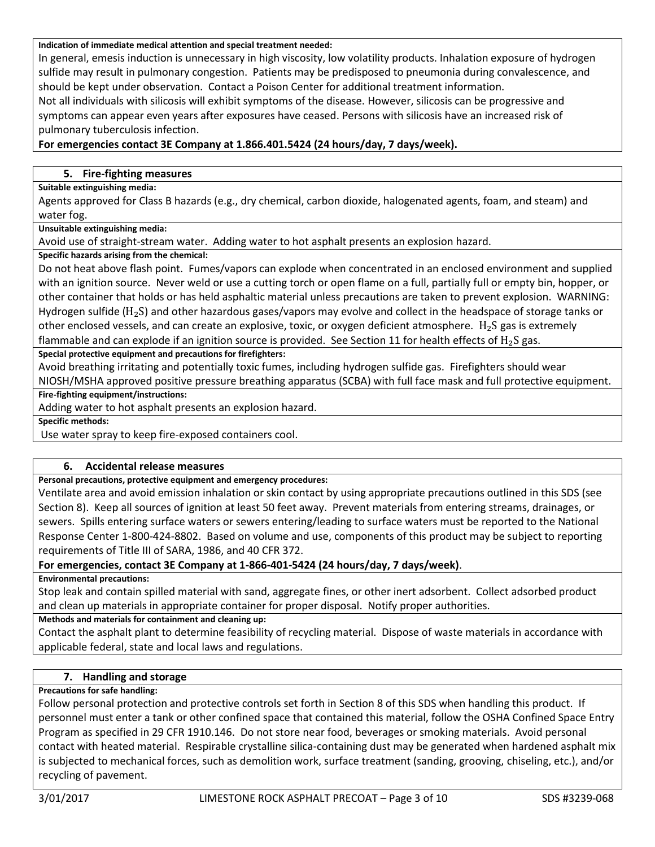#### **Indication of immediate medical attention and special treatment needed:**

In general, emesis induction is unnecessary in high viscosity, low volatility products. Inhalation exposure of hydrogen sulfide may result in pulmonary congestion. Patients may be predisposed to pneumonia during convalescence, and should be kept under observation. Contact a Poison Center for additional treatment information.

Not all individuals with silicosis will exhibit symptoms of the disease. However, silicosis can be progressive and symptoms can appear even years after exposures have ceased. Persons with silicosis have an increased risk of pulmonary tuberculosis infection.

# **For emergencies contact 3E Company at 1.866.401.5424 (24 hours/day, 7 days/week).**

#### **5. Fire-fighting measures**

#### **Suitable extinguishing media:**

Agents approved for Class B hazards (e.g., dry chemical, carbon dioxide, halogenated agents, foam, and steam) and water fog.

#### **Unsuitable extinguishing media:**

Avoid use of straight-stream water. Adding water to hot asphalt presents an explosion hazard.

### **Specific hazards arising from the chemical:**

Do not heat above flash point. Fumes/vapors can explode when concentrated in an enclosed environment and supplied with an ignition source. Never weld or use a cutting torch or open flame on a full, partially full or empty bin, hopper, or other container that holds or has held asphaltic material unless precautions are taken to prevent explosion. WARNING: Hydrogen sulfide ( $H_2S$ ) and other hazardous gases/vapors may evolve and collect in the headspace of storage tanks or other enclosed vessels, and can create an explosive, toxic, or oxygen deficient atmosphere.  $H_2S$  gas is extremely flammable and can explode if an ignition source is provided. See Section 11 for health effects of  $H_2S$  gas.

**Special protective equipment and precautions for firefighters:**

Avoid breathing irritating and potentially toxic fumes, including hydrogen sulfide gas. Firefighters should wear NIOSH/MSHA approved positive pressure breathing apparatus (SCBA) with full face mask and full protective equipment.

**Fire-fighting equipment/instructions:**

Adding water to hot asphalt presents an explosion hazard.

**Specific methods:**

Use water spray to keep fire-exposed containers cool.

#### **6. Accidental release measures**

#### **Personal precautions, protective equipment and emergency procedures:**

Ventilate area and avoid emission inhalation or skin contact by using appropriate precautions outlined in this SDS (see Section 8). Keep all sources of ignition at least 50 feet away. Prevent materials from entering streams, drainages, or sewers. Spills entering surface waters or sewers entering/leading to surface waters must be reported to the National Response Center 1-800-424-8802. Based on volume and use, components of this product may be subject to reporting requirements of Title III of SARA, 1986, and 40 CFR 372.

# **For emergencies, contact 3E Company at 1-866-401-5424 (24 hours/day, 7 days/week)**.

**Environmental precautions:**

Stop leak and contain spilled material with sand, aggregate fines, or other inert adsorbent. Collect adsorbed product and clean up materials in appropriate container for proper disposal. Notify proper authorities.

#### **Methods and materials for containment and cleaning up:**

Contact the asphalt plant to determine feasibility of recycling material. Dispose of waste materials in accordance with applicable federal, state and local laws and regulations.

# **7. Handling and storage**

#### **Precautions for safe handling:**

Follow personal protection and protective controls set forth in Section 8 of this SDS when handling this product. If personnel must enter a tank or other confined space that contained this material, follow the OSHA Confined Space Entry Program as specified in 29 CFR 1910.146. Do not store near food, beverages or smoking materials. Avoid personal contact with heated material. Respirable crystalline silica-containing dust may be generated when hardened asphalt mix is subjected to mechanical forces, such as demolition work, surface treatment (sanding, grooving, chiseling, etc.), and/or recycling of pavement.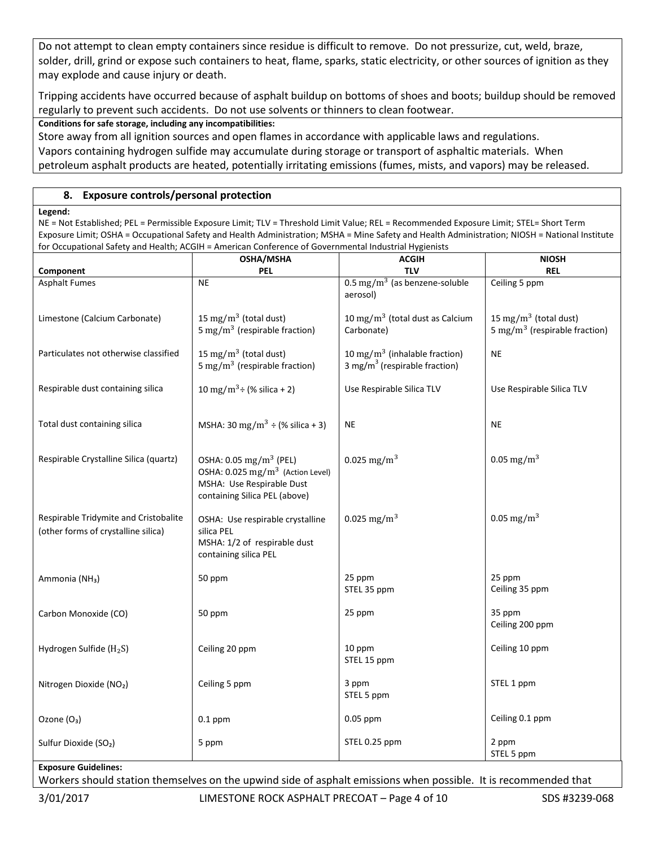Do not attempt to clean empty containers since residue is difficult to remove. Do not pressurize, cut, weld, braze, solder, drill, grind or expose such containers to heat, flame, sparks, static electricity, or other sources of ignition as they may explode and cause injury or death.

Tripping accidents have occurred because of asphalt buildup on bottoms of shoes and boots; buildup should be removed regularly to prevent such accidents. Do not use solvents or thinners to clean footwear.

**Conditions for safe storage, including any incompatibilities:**

Store away from all ignition sources and open flames in accordance with applicable laws and regulations.

Vapors containing hydrogen sulfide may accumulate during storage or transport of asphaltic materials. When

petroleum asphalt products are heated, potentially irritating emissions (fumes, mists, and vapors) may be released.

# **8. Exposure controls/personal protection**

#### **Legend:**

NE = Not Established; PEL = Permissible Exposure Limit; TLV = Threshold Limit Value; REL = Recommended Exposure Limit; STEL= Short Term Exposure Limit; OSHA = Occupational Safety and Health Administration; MSHA = Mine Safety and Health Administration; NIOSH = National Institute for Occupational Safety and Health; ACGIH = American Conference of Governmental Industrial Hygienists

|                                                                              | OSHA/MSHA                                                                                                                                        | <b>ACGIH</b>                                                                           | <b>NIOSH</b>                                                                   |
|------------------------------------------------------------------------------|--------------------------------------------------------------------------------------------------------------------------------------------------|----------------------------------------------------------------------------------------|--------------------------------------------------------------------------------|
| Component                                                                    | <b>PEL</b>                                                                                                                                       | <b>TLV</b>                                                                             | <b>REL</b>                                                                     |
| <b>Asphalt Fumes</b>                                                         | <b>NE</b>                                                                                                                                        | $0.5 \text{ mg/m}^3$ (as benzene-soluble<br>aerosol)                                   | Ceiling 5 ppm                                                                  |
| Limestone (Calcium Carbonate)                                                | 15 mg/m <sup>3</sup> (total dust)<br>5 mg/m <sup>3</sup> (respirable fraction)                                                                   | 10 mg/m $3$ (total dust as Calcium<br>Carbonate)                                       | 15 mg/m <sup>3</sup> (total dust)<br>5 mg/m <sup>3</sup> (respirable fraction) |
| Particulates not otherwise classified                                        | 15 mg/m <sup>3</sup> (total dust)<br>5 mg/m <sup>3</sup> (respirable fraction)                                                                   | 10 mg/m <sup>3</sup> (inhalable fraction)<br>3 mg/m <sup>3</sup> (respirable fraction) | <b>NE</b>                                                                      |
| Respirable dust containing silica                                            | 10 mg/m <sup>3</sup> ÷ (% silica + 2)                                                                                                            | Use Respirable Silica TLV                                                              | Use Respirable Silica TLV                                                      |
| Total dust containing silica                                                 | MSHA: 30 mg/m <sup>3</sup> ÷ (% silica + 3)                                                                                                      | <b>NE</b>                                                                              | <b>NE</b>                                                                      |
| Respirable Crystalline Silica (quartz)                                       | OSHA: 0.05 mg/m <sup>3</sup> (PEL)<br>OSHA: 0.025 mg/m <sup>3</sup> (Action Level)<br>MSHA: Use Respirable Dust<br>containing Silica PEL (above) | 0.025 mg/m <sup>3</sup>                                                                | $0.05 \,\mathrm{mg/m^3}$                                                       |
| Respirable Tridymite and Cristobalite<br>(other forms of crystalline silica) | OSHA: Use respirable crystalline<br>silica PEL<br>MSHA: 1/2 of respirable dust<br>containing silica PEL                                          | 0.025 mg/m <sup>3</sup>                                                                | 0.05 mg/m <sup>3</sup>                                                         |
| Ammonia (NH <sub>3</sub> )                                                   | 50 ppm                                                                                                                                           | 25 ppm<br>STEL 35 ppm                                                                  | 25 ppm<br>Ceiling 35 ppm                                                       |
| Carbon Monoxide (CO)                                                         | 50 ppm                                                                                                                                           | 25 ppm                                                                                 | 35 ppm<br>Ceiling 200 ppm                                                      |
| Hydrogen Sulfide (H <sub>2</sub> S)                                          | Ceiling 20 ppm                                                                                                                                   | 10 ppm<br>STEL 15 ppm                                                                  | Ceiling 10 ppm                                                                 |
| Nitrogen Dioxide (NO2)                                                       | Ceiling 5 ppm                                                                                                                                    | 3 ppm<br>STEL 5 ppm                                                                    | STEL 1 ppm                                                                     |
| Ozone (O <sub>3</sub> )                                                      | $0.1$ ppm                                                                                                                                        | $0.05$ ppm                                                                             | Ceiling 0.1 ppm                                                                |
| Sulfur Dioxide (SO <sub>2</sub> )                                            | 5 ppm                                                                                                                                            | STEL 0.25 ppm                                                                          | 2 ppm<br>STEL 5 ppm                                                            |
| <b>Exposure Guidelines:</b>                                                  |                                                                                                                                                  |                                                                                        |                                                                                |

Workers should station themselves on the upwind side of asphalt emissions when possible. It is recommended that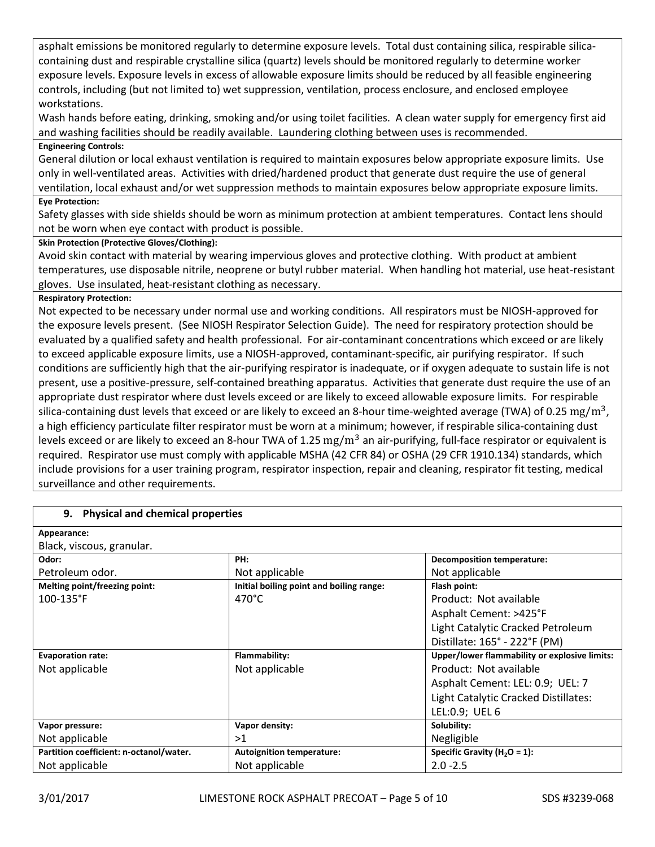asphalt emissions be monitored regularly to determine exposure levels. Total dust containing silica, respirable silicacontaining dust and respirable crystalline silica (quartz) levels should be monitored regularly to determine worker exposure levels. Exposure levels in excess of allowable exposure limits should be reduced by all feasible engineering controls, including (but not limited to) wet suppression, ventilation, process enclosure, and enclosed employee workstations.

Wash hands before eating, drinking, smoking and/or using toilet facilities. A clean water supply for emergency first aid and washing facilities should be readily available. Laundering clothing between uses is recommended.

# **Engineering Controls:**

General dilution or local exhaust ventilation is required to maintain exposures below appropriate exposure limits. Use only in well-ventilated areas. Activities with dried/hardened product that generate dust require the use of general ventilation, local exhaust and/or wet suppression methods to maintain exposures below appropriate exposure limits.

### **Eye Protection:**

Safety glasses with side shields should be worn as minimum protection at ambient temperatures. Contact lens should not be worn when eye contact with product is possible.

# **Skin Protection (Protective Gloves/Clothing):**

Avoid skin contact with material by wearing impervious gloves and protective clothing. With product at ambient temperatures, use disposable nitrile, neoprene or butyl rubber material. When handling hot material, use heat-resistant gloves. Use insulated, heat-resistant clothing as necessary.

# **Respiratory Protection:**

Not expected to be necessary under normal use and working conditions. All respirators must be NIOSH-approved for the exposure levels present. (See NIOSH Respirator Selection Guide). The need for respiratory protection should be evaluated by a qualified safety and health professional. For air-contaminant concentrations which exceed or are likely to exceed applicable exposure limits, use a NIOSH-approved, contaminant-specific, air purifying respirator. If such conditions are sufficiently high that the air-purifying respirator is inadequate, or if oxygen adequate to sustain life is not present, use a positive-pressure, self-contained breathing apparatus. Activities that generate dust require the use of an appropriate dust respirator where dust levels exceed or are likely to exceed allowable exposure limits. For respirable silica-containing dust levels that exceed or are likely to exceed an 8-hour time-weighted average (TWA) of 0.25  $\rm mg/m^3$ , a high efficiency particulate filter respirator must be worn at a minimum; however, if respirable silica-containing dust levels exceed or are likely to exceed an 8-hour TWA of 1.25  $\rm mg/m^3$  an air-purifying, full-face respirator or equivalent is required. Respirator use must comply with applicable MSHA (42 CFR 84) or OSHA (29 CFR 1910.134) standards, which include provisions for a user training program, respirator inspection, repair and cleaning, respirator fit testing, medical surveillance and other requirements.

| 9. Physical and chemical properties     |                                          |                                               |
|-----------------------------------------|------------------------------------------|-----------------------------------------------|
| Appearance:                             |                                          |                                               |
| Black, viscous, granular.               |                                          |                                               |
| Odor:                                   | PH:                                      | <b>Decomposition temperature:</b>             |
| Petroleum odor.                         | Not applicable                           | Not applicable                                |
| Melting point/freezing point:           | Initial boiling point and boiling range: | Flash point:                                  |
| $100 - 135$ °F                          | 470°C                                    | Product: Not available                        |
|                                         |                                          | Asphalt Cement: >425°F                        |
|                                         |                                          | Light Catalytic Cracked Petroleum             |
|                                         |                                          | Distillate: 165° - 222°F (PM)                 |
| <b>Evaporation rate:</b>                | Flammability:                            | Upper/lower flammability or explosive limits: |
| Not applicable                          | Not applicable                           | Product: Not available                        |
|                                         |                                          | Asphalt Cement: LEL: 0.9; UEL: 7              |
|                                         |                                          | Light Catalytic Cracked Distillates:          |
|                                         |                                          | LEL:0.9; UEL 6                                |
| Vapor pressure:                         | Vapor density:                           | Solubility:                                   |
| Not applicable                          | >1                                       | Negligible                                    |
| Partition coefficient: n-octanol/water. | <b>Autoignition temperature:</b>         | Specific Gravity ( $H_2O = 1$ ):              |
| Not applicable                          | Not applicable                           | $2.0 - 2.5$                                   |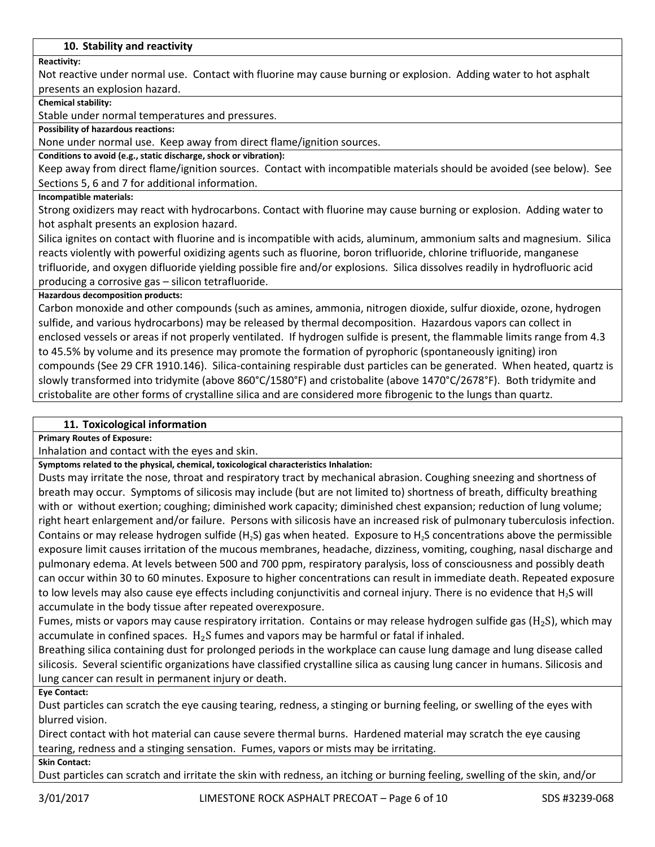# **10. Stability and reactivity**

**Reactivity:**

Not reactive under normal use. Contact with fluorine may cause burning or explosion. Adding water to hot asphalt presents an explosion hazard.

**Chemical stability:**

Stable under normal temperatures and pressures.

**Possibility of hazardous reactions:**

None under normal use. Keep away from direct flame/ignition sources.

**Conditions to avoid (e.g., static discharge, shock or vibration):**

Keep away from direct flame/ignition sources. Contact with incompatible materials should be avoided (see below). See Sections 5, 6 and 7 for additional information.

#### **Incompatible materials:**

Strong oxidizers may react with hydrocarbons. Contact with fluorine may cause burning or explosion. Adding water to hot asphalt presents an explosion hazard.

Silica ignites on contact with fluorine and is incompatible with acids, aluminum, ammonium salts and magnesium. Silica reacts violently with powerful oxidizing agents such as fluorine, boron trifluoride, chlorine trifluoride, manganese trifluoride, and oxygen difluoride yielding possible fire and/or explosions. Silica dissolves readily in hydrofluoric acid producing a corrosive gas – silicon tetrafluoride.

**Hazardous decomposition products:**

Carbon monoxide and other compounds (such as amines, ammonia, nitrogen dioxide, sulfur dioxide, ozone, hydrogen sulfide, and various hydrocarbons) may be released by thermal decomposition. Hazardous vapors can collect in enclosed vessels or areas if not properly ventilated. If hydrogen sulfide is present, the flammable limits range from 4.3 to 45.5% by volume and its presence may promote the formation of pyrophoric (spontaneously igniting) iron compounds (See 29 CFR 1910.146). Silica-containing respirable dust particles can be generated. When heated, quartz is slowly transformed into tridymite (above 860°C/1580°F) and cristobalite (above 1470°C/2678°F). Both tridymite and cristobalite are other forms of crystalline silica and are considered more fibrogenic to the lungs than quartz.

# **11. Toxicological information**

**Primary Routes of Exposure:**

Inhalation and contact with the eyes and skin.

**Symptoms related to the physical, chemical, toxicological characteristics Inhalation:**

Dusts may irritate the nose, throat and respiratory tract by mechanical abrasion. Coughing sneezing and shortness of breath may occur. Symptoms of silicosis may include (but are not limited to) shortness of breath, difficulty breathing with or without exertion; coughing; diminished work capacity; diminished chest expansion; reduction of lung volume; right heart enlargement and/or failure. Persons with silicosis have an increased risk of pulmonary tuberculosis infection. Contains or may release hydrogen sulfide (H<sub>2</sub>S) gas when heated. Exposure to H<sub>2</sub>S concentrations above the permissible exposure limit causes irritation of the mucous membranes, headache, dizziness, vomiting, coughing, nasal discharge and pulmonary edema. At levels between 500 and 700 ppm, respiratory paralysis, loss of consciousness and possibly death can occur within 30 to 60 minutes. Exposure to higher concentrations can result in immediate death. Repeated exposure to low levels may also cause eye effects including conjunctivitis and corneal injury. There is no evidence that  $H_2S$  will accumulate in the body tissue after repeated overexposure.

Fumes, mists or vapors may cause respiratory irritation. Contains or may release hydrogen sulfide gas ( $H_2S$ ), which may accumulate in confined spaces.  $H_2S$  fumes and vapors may be harmful or fatal if inhaled.

Breathing silica containing dust for prolonged periods in the workplace can cause lung damage and lung disease called silicosis. Several scientific organizations have classified crystalline silica as causing lung cancer in humans. Silicosis and lung cancer can result in permanent injury or death.

**Eye Contact:**

Dust particles can scratch the eye causing tearing, redness, a stinging or burning feeling, or swelling of the eyes with blurred vision.

Direct contact with hot material can cause severe thermal burns. Hardened material may scratch the eye causing tearing, redness and a stinging sensation. Fumes, vapors or mists may be irritating.

#### **Skin Contact:**

Dust particles can scratch and irritate the skin with redness, an itching or burning feeling, swelling of the skin, and/or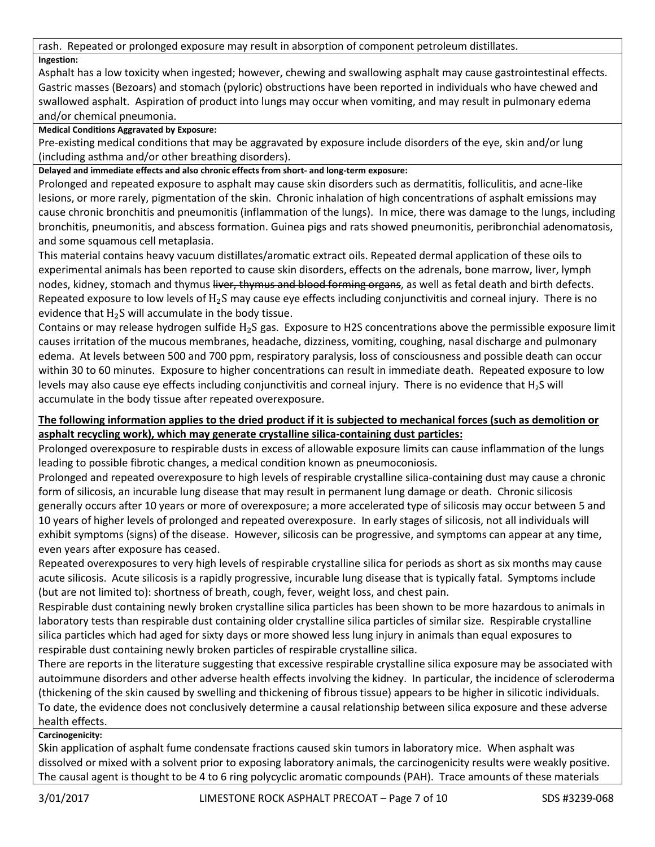rash. Repeated or prolonged exposure may result in absorption of component petroleum distillates. **Ingestion:**

Asphalt has a low toxicity when ingested; however, chewing and swallowing asphalt may cause gastrointestinal effects. Gastric masses (Bezoars) and stomach (pyloric) obstructions have been reported in individuals who have chewed and swallowed asphalt. Aspiration of product into lungs may occur when vomiting, and may result in pulmonary edema and/or chemical pneumonia.

# **Medical Conditions Aggravated by Exposure:**

Pre-existing medical conditions that may be aggravated by exposure include disorders of the eye, skin and/or lung (including asthma and/or other breathing disorders).

**Delayed and immediate effects and also chronic effects from short- and long-term exposure:**

Prolonged and repeated exposure to asphalt may cause skin disorders such as dermatitis, folliculitis, and acne-like lesions, or more rarely, pigmentation of the skin. Chronic inhalation of high concentrations of asphalt emissions may cause chronic bronchitis and pneumonitis (inflammation of the lungs). In mice, there was damage to the lungs, including bronchitis, pneumonitis, and abscess formation. Guinea pigs and rats showed pneumonitis, peribronchial adenomatosis, and some squamous cell metaplasia.

This material contains heavy vacuum distillates/aromatic extract oils. Repeated dermal application of these oils to experimental animals has been reported to cause skin disorders, effects on the adrenals, bone marrow, liver, lymph nodes, kidney, stomach and thymus liver, thymus and blood forming organs, as well as fetal death and birth defects. Repeated exposure to low levels of  $H_2S$  may cause eye effects including conjunctivitis and corneal injury. There is no evidence that  $H_2S$  will accumulate in the body tissue.

Contains or may release hydrogen sulfide  $H_2S$  gas. Exposure to H2S concentrations above the permissible exposure limit causes irritation of the mucous membranes, headache, dizziness, vomiting, coughing, nasal discharge and pulmonary edema. At levels between 500 and 700 ppm, respiratory paralysis, loss of consciousness and possible death can occur within 30 to 60 minutes. Exposure to higher concentrations can result in immediate death. Repeated exposure to low levels may also cause eye effects including conjunctivitis and corneal injury. There is no evidence that  $H_2S$  will accumulate in the body tissue after repeated overexposure.

# **The following information applies to the dried product if it is subjected to mechanical forces (such as demolition or asphalt recycling work), which may generate crystalline silica-containing dust particles:**

Prolonged overexposure to respirable dusts in excess of allowable exposure limits can cause inflammation of the lungs leading to possible fibrotic changes, a medical condition known as pneumoconiosis.

Prolonged and repeated overexposure to high levels of respirable crystalline silica-containing dust may cause a chronic form of silicosis, an incurable lung disease that may result in permanent lung damage or death. Chronic silicosis generally occurs after 10 years or more of overexposure; a more accelerated type of silicosis may occur between 5 and 10 years of higher levels of prolonged and repeated overexposure. In early stages of silicosis, not all individuals will exhibit symptoms (signs) of the disease. However, silicosis can be progressive, and symptoms can appear at any time, even years after exposure has ceased.

Repeated overexposures to very high levels of respirable crystalline silica for periods as short as six months may cause acute silicosis. Acute silicosis is a rapidly progressive, incurable lung disease that is typically fatal. Symptoms include (but are not limited to): shortness of breath, cough, fever, weight loss, and chest pain.

Respirable dust containing newly broken crystalline silica particles has been shown to be more hazardous to animals in laboratory tests than respirable dust containing older crystalline silica particles of similar size. Respirable crystalline silica particles which had aged for sixty days or more showed less lung injury in animals than equal exposures to respirable dust containing newly broken particles of respirable crystalline silica.

There are reports in the literature suggesting that excessive respirable crystalline silica exposure may be associated with autoimmune disorders and other adverse health effects involving the kidney. In particular, the incidence of scleroderma (thickening of the skin caused by swelling and thickening of fibrous tissue) appears to be higher in silicotic individuals. To date, the evidence does not conclusively determine a causal relationship between silica exposure and these adverse health effects.

# **Carcinogenicity:**

Skin application of asphalt fume condensate fractions caused skin tumors in laboratory mice. When asphalt was dissolved or mixed with a solvent prior to exposing laboratory animals, the carcinogenicity results were weakly positive. The causal agent is thought to be 4 to 6 ring polycyclic aromatic compounds (PAH). Trace amounts of these materials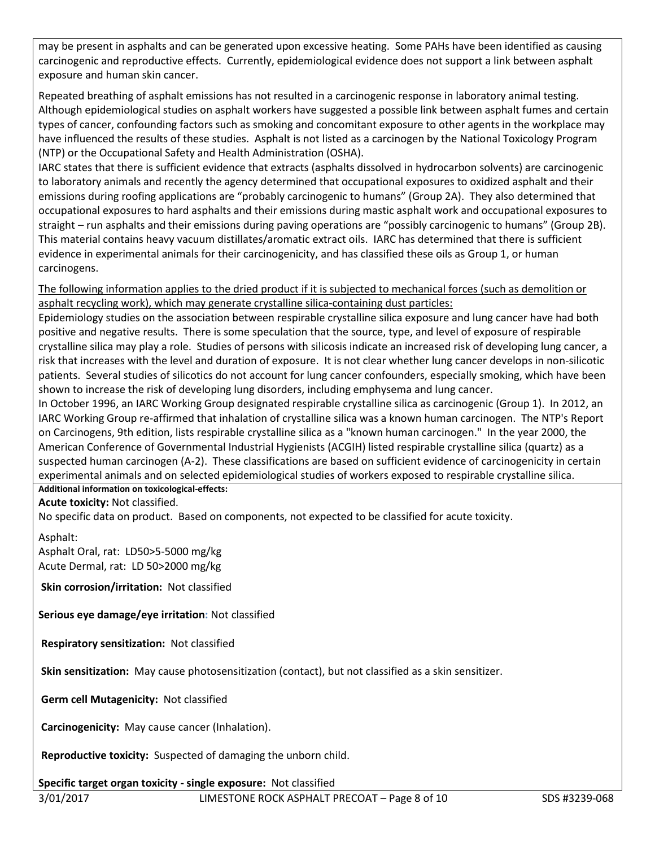may be present in asphalts and can be generated upon excessive heating. Some PAHs have been identified as causing carcinogenic and reproductive effects. Currently, epidemiological evidence does not support a link between asphalt exposure and human skin cancer.

Repeated breathing of asphalt emissions has not resulted in a carcinogenic response in laboratory animal testing. Although epidemiological studies on asphalt workers have suggested a possible link between asphalt fumes and certain types of cancer, confounding factors such as smoking and concomitant exposure to other agents in the workplace may have influenced the results of these studies. Asphalt is not listed as a carcinogen by the National Toxicology Program (NTP) or the Occupational Safety and Health Administration (OSHA).

IARC states that there is sufficient evidence that extracts (asphalts dissolved in hydrocarbon solvents) are carcinogenic to laboratory animals and recently the agency determined that occupational exposures to oxidized asphalt and their emissions during roofing applications are "probably carcinogenic to humans" (Group 2A). They also determined that occupational exposures to hard asphalts and their emissions during mastic asphalt work and occupational exposures to straight – run asphalts and their emissions during paving operations are "possibly carcinogenic to humans" (Group 2B). This material contains heavy vacuum distillates/aromatic extract oils. IARC has determined that there is sufficient evidence in experimental animals for their carcinogenicity, and has classified these oils as Group 1, or human carcinogens.

The following information applies to the dried product if it is subjected to mechanical forces (such as demolition or asphalt recycling work), which may generate crystalline silica-containing dust particles:

Epidemiology studies on the association between respirable crystalline silica exposure and lung cancer have had both positive and negative results. There is some speculation that the source, type, and level of exposure of respirable crystalline silica may play a role. Studies of persons with silicosis indicate an increased risk of developing lung cancer, a risk that increases with the level and duration of exposure. It is not clear whether lung cancer develops in non-silicotic patients. Several studies of silicotics do not account for lung cancer confounders, especially smoking, which have been shown to increase the risk of developing lung disorders, including emphysema and lung cancer.

In October 1996, an IARC Working Group designated respirable crystalline silica as carcinogenic (Group 1). In 2012, an IARC Working Group re-affirmed that inhalation of crystalline silica was a known human carcinogen. The NTP's Report on Carcinogens, 9th edition, lists respirable crystalline silica as a "known human carcinogen." In the year 2000, the American Conference of Governmental Industrial Hygienists (ACGIH) listed respirable crystalline silica (quartz) as a suspected human carcinogen (A-2). These classifications are based on sufficient evidence of carcinogenicity in certain experimental animals and on selected epidemiological studies of workers exposed to respirable crystalline silica.

**Additional information on toxicological-effects:**

**Acute toxicity:** Not classified.

No specific data on product. Based on components, not expected to be classified for acute toxicity.

Asphalt:

Asphalt Oral, rat: LD50>5-5000 mg/kg Acute Dermal, rat: LD 50>2000 mg/kg

**Skin corrosion/irritation:** Not classified

**Serious eye damage/eye irritation:** Not classified

**Respiratory sensitization:** Not classified

**Skin sensitization:** May cause photosensitization (contact), but not classified as a skin sensitizer.

**Germ cell Mutagenicity:** Not classified

**Carcinogenicity:** May cause cancer (Inhalation).

**Reproductive toxicity:** Suspected of damaging the unborn child.

**Specific target organ toxicity - single exposure:** Not classified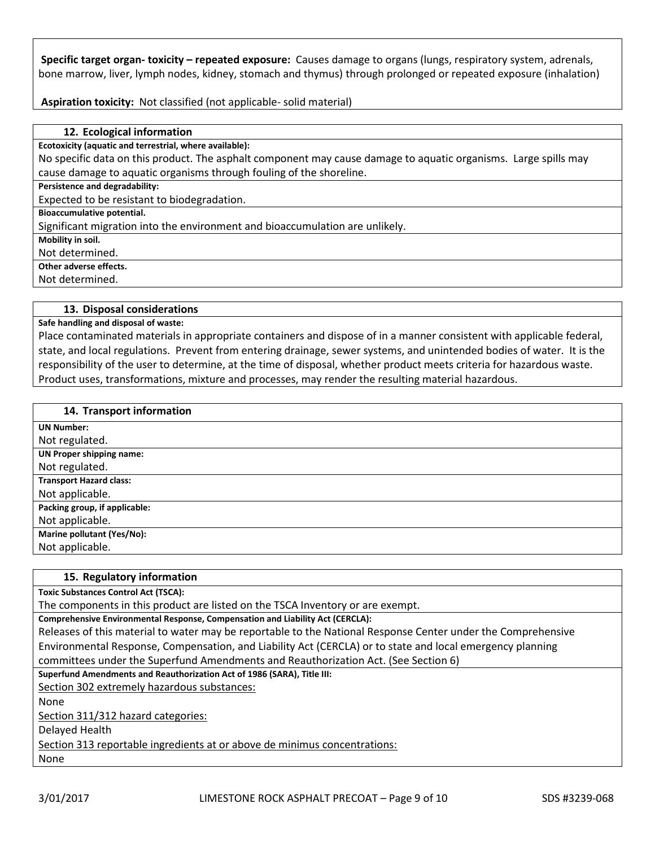**Specific target organ- toxicity – repeated exposure:** Causes damage to organs (lungs, respiratory system, adrenals, bone marrow, liver, lymph nodes, kidney, stomach and thymus) through prolonged or repeated exposure (inhalation)

**Aspiration toxicity:** Not classified (not applicable- solid material)

#### **12. Ecological information**

**Ecotoxicity (aquatic and terrestrial, where available):**

No specific data on this product. The asphalt component may cause damage to aquatic organisms. Large spills may cause damage to aquatic organisms through fouling of the shoreline.

**Persistence and degradability:**

Expected to be resistant to biodegradation.

**Bioaccumulative potential.**

Significant migration into the environment and bioaccumulation are unlikely.

**Mobility in soil.**

Not determined.

**Other adverse effects.**

Not determined.

#### **13. Disposal considerations**

**Safe handling and disposal of waste:**

Place contaminated materials in appropriate containers and dispose of in a manner consistent with applicable federal, state, and local regulations. Prevent from entering drainage, sewer systems, and unintended bodies of water. It is the responsibility of the user to determine, at the time of disposal, whether product meets criteria for hazardous waste. Product uses, transformations, mixture and processes, may render the resulting material hazardous.

#### **14. Transport information**

| <b>UN Number:</b>               |
|---------------------------------|
| Not regulated.                  |
| <b>UN Proper shipping name:</b> |
| Not regulated.                  |
| <b>Transport Hazard class:</b>  |
| Not applicable.                 |
| Packing group, if applicable:   |
| Not applicable.                 |
| Marine pollutant (Yes/No):      |
| Not applicable.                 |

#### **15. Regulatory information**

**Toxic Substances Control Act (TSCA):**

The components in this product are listed on the TSCA Inventory or are exempt.

**Comprehensive Environmental Response, Compensation and Liability Act (CERCLA):**

Releases of this material to water may be reportable to the National Response Center under the Comprehensive Environmental Response, Compensation, and Liability Act (CERCLA) or to state and local emergency planning committees under the Superfund Amendments and Reauthorization Act. (See Section 6)

**Superfund Amendments and Reauthorization Act of 1986 (SARA), Title III:**

Section 302 extremely hazardous substances:

None

Section 311/312 hazard categories:

Delayed Health

Section 313 reportable ingredients at or above de minimus concentrations:

None